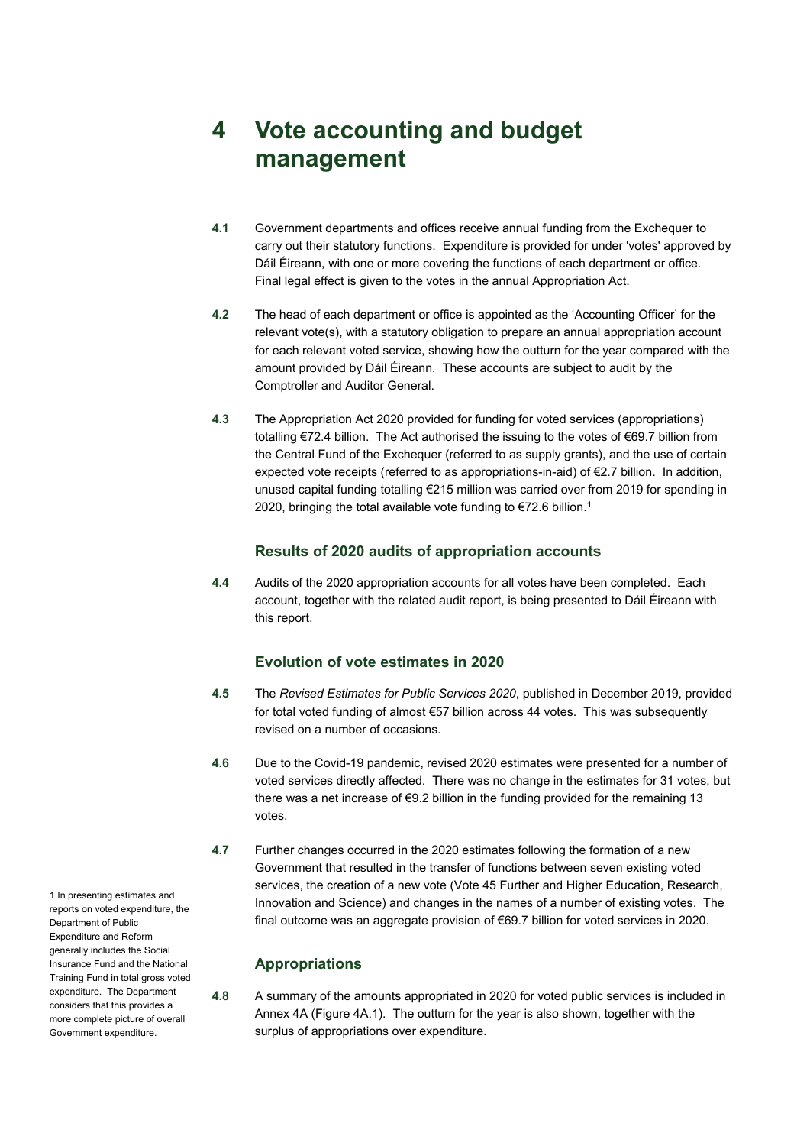# **4 Vote accounting and budget management**

- **4.1** Government departments and offices receive annual funding from the Exchequer to carry out their statutory functions. Expenditure is provided for under 'votes' approved by Dáil Éireann, with one or more covering the functions of each department or office. Final legal effect is given to the votes in the annual Appropriation Act.
- **4.2** The head of each department or office is appointed as the 'Accounting Officer' for the relevant vote(s), with a statutory obligation to prepare an annual appropriation account for each relevant voted service, showing how the outturn for the year compared with the amount provided by Dáil Éireann. These accounts are subject to audit by the Comptroller and Auditor General.
- **4.3** The Appropriation Act 2020 provided for funding for voted services (appropriations) totalling €72.4 billion. The Act authorised the issuing to the votes of €69.7 billion from the Central Fund of the Exchequer (referred to as supply grants), and the use of certain expected vote receipts (referred to as appropriations-in-aid) of €2.7 billion. In addition, unused capital funding totalling €215 million was carried over from 2019 for spending in 2020, bringing the total available vote funding to €72.6 billion.**<sup>1</sup>**

#### **Results of 2020 audits of appropriation accounts**

**4.4** Audits of the 2020 appropriation accounts for all votes have been completed. Each account, together with the related audit report, is being presented to Dáil Éireann with this report.

### **Evolution of vote estimates in 2020**

- **4.5** The *Revised Estimates for Public Services 2020*, published in December 2019, provided for total voted funding of almost €57 billion across 44 votes. This was subsequently revised on a number of occasions.
- **4.6** Due to the Covid-19 pandemic, revised 2020 estimates were presented for a number of voted services directly affected. There was no change in the estimates for 31 votes, but there was a net increase of €9.2 billion in the funding provided for the remaining 13 votes.
- **4.7** Further changes occurred in the 2020 estimates following the formation of a new Government that resulted in the transfer of functions between seven existing voted services, the creation of a new vote (Vote 45 Further and Higher Education, Research, Innovation and Science) and changes in the names of a number of existing votes. The final outcome was an aggregate provision of €69.7 billion for voted services in 2020.

#### **Appropriations**

**4.8** A summary of the amounts appropriated in 2020 for voted public services is included in Annex 4A (Figure 4A.1). The outturn for the year is also shown, together with the surplus of appropriations over expenditure.

1 In presenting estimates and reports on voted expenditure, the Department of Public Expenditure and Reform generally includes the Social Insurance Fund and the National Training Fund in total gross voted expenditure. The Department considers that this provides a more complete picture of overall Government expenditure.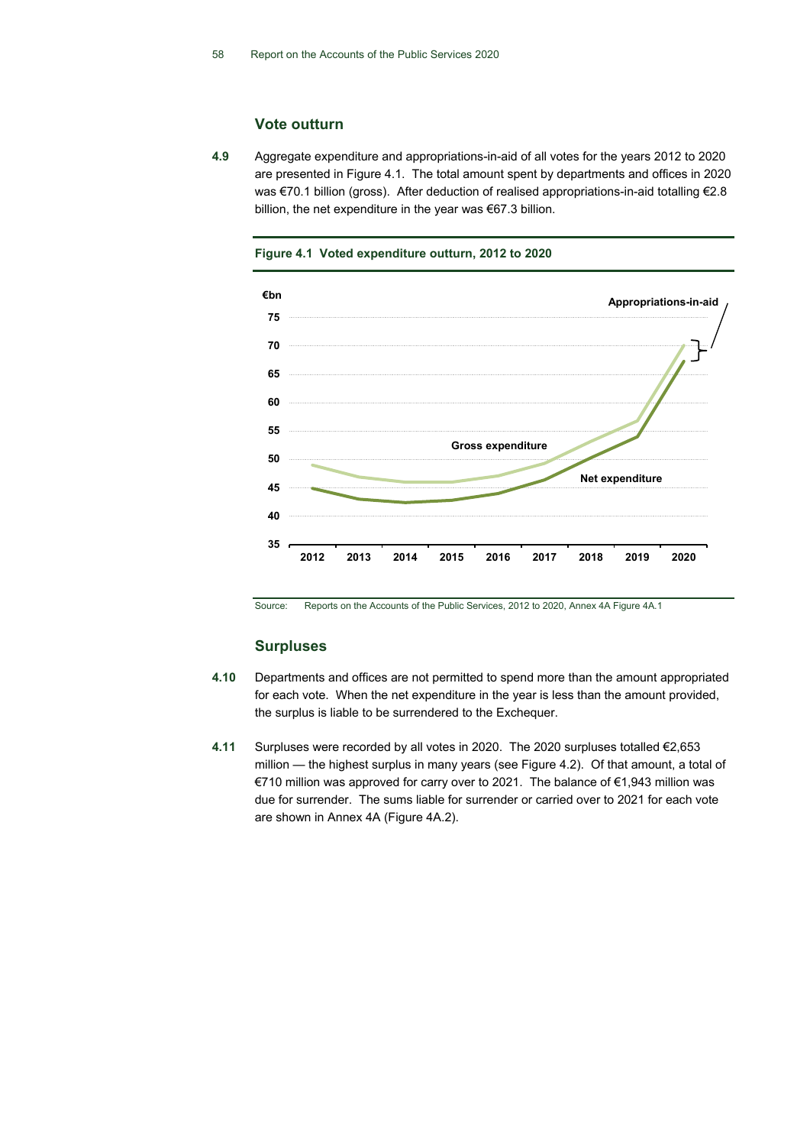#### **Vote outturn**

**4.9** Aggregate expenditure and appropriations-in-aid of all votes for the years 2012 to 2020 are presented in Figure 4.1. The total amount spent by departments and offices in 2020 was €70.1 billion (gross). After deduction of realised appropriations-in-aid totalling €2.8 billion, the net expenditure in the year was €67.3 billion.



**Figure 4.1 Voted expenditure outturn, 2012 to 2020**

Source: Reports on the Accounts of the Public Services, 2012 to 2020, Annex 4A Figure 4A.1

#### **Surpluses**

- **4.10** Departments and offices are not permitted to spend more than the amount appropriated for each vote. When the net expenditure in the year is less than the amount provided, the surplus is liable to be surrendered to the Exchequer.
- **4.11** Surpluses were recorded by all votes in 2020. The 2020 surpluses totalled €2,653 million — the highest surplus in many years (see Figure 4.2). Of that amount, a total of €710 million was approved for carry over to 2021. The balance of €1,943 million was due for surrender. The sums liable for surrender or carried over to 2021 for each vote are shown in Annex 4A (Figure 4A.2).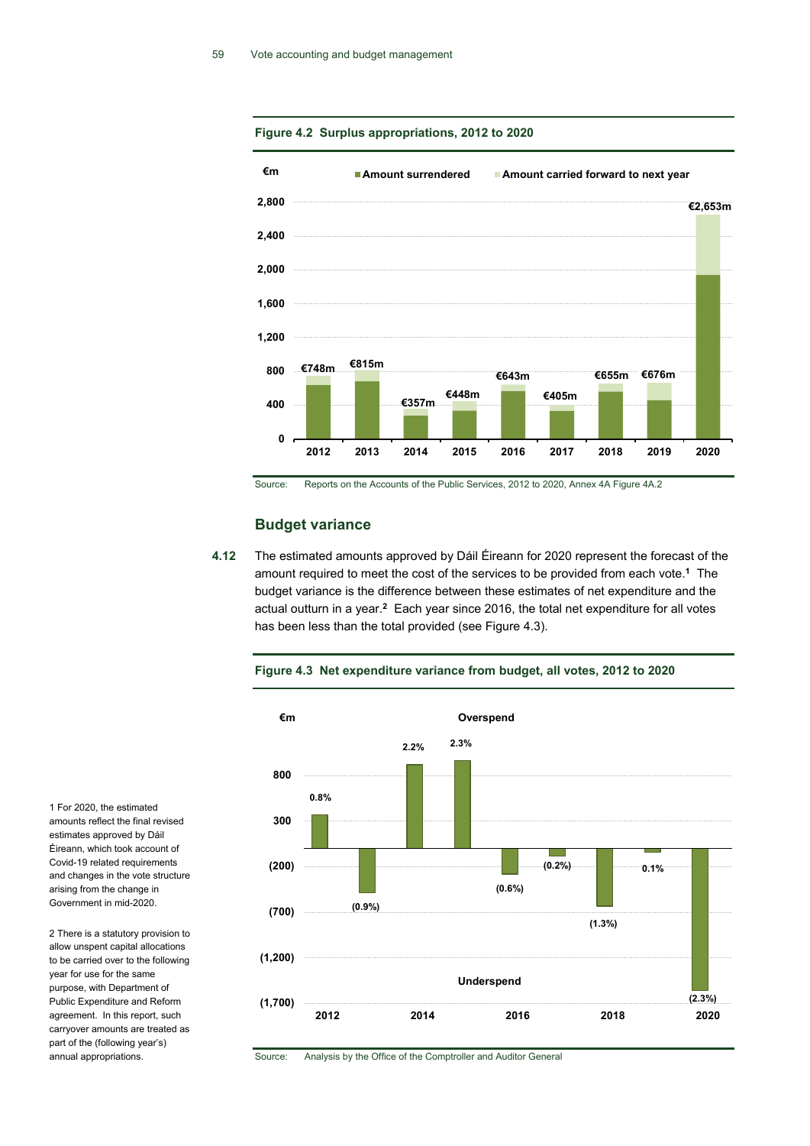

#### **Figure 4.2 Surplus appropriations, 2012 to 2020**

Source: Reports on the Accounts of the Public Services, 2012 to 2020, Annex 4A Figure 4A.2

#### **Budget variance**

**4.12** The estimated amounts approved by Dáil Éireann for 2020 represent the forecast of the amount required to meet the cost of the services to be provided from each vote.**<sup>1</sup>** The budget variance is the difference between these estimates of net expenditure and the actual outturn in a year.**<sup>2</sup>** Each year since 2016, the total net expenditure for all votes has been less than the total provided (see Figure 4.3).

**Figure 4.3 Net expenditure variance from budget, all votes, 2012 to 2020**



Source: Analysis by the Office of the Comptroller and Auditor General

1 For 2020, the estimated amounts reflect the final revised estimates approved by Dáil Éireann, which took account of Covid-19 related requirements and changes in the vote structure arising from the change in Government in mid-2020.

2 There is a statutory provision to allow unspent capital allocations to be carried over to the following year for use for the same purpose, with Department of Public Expenditure and Reform agreement. In this report, such carryover amounts are treated as part of the (following year's) annual appropriations.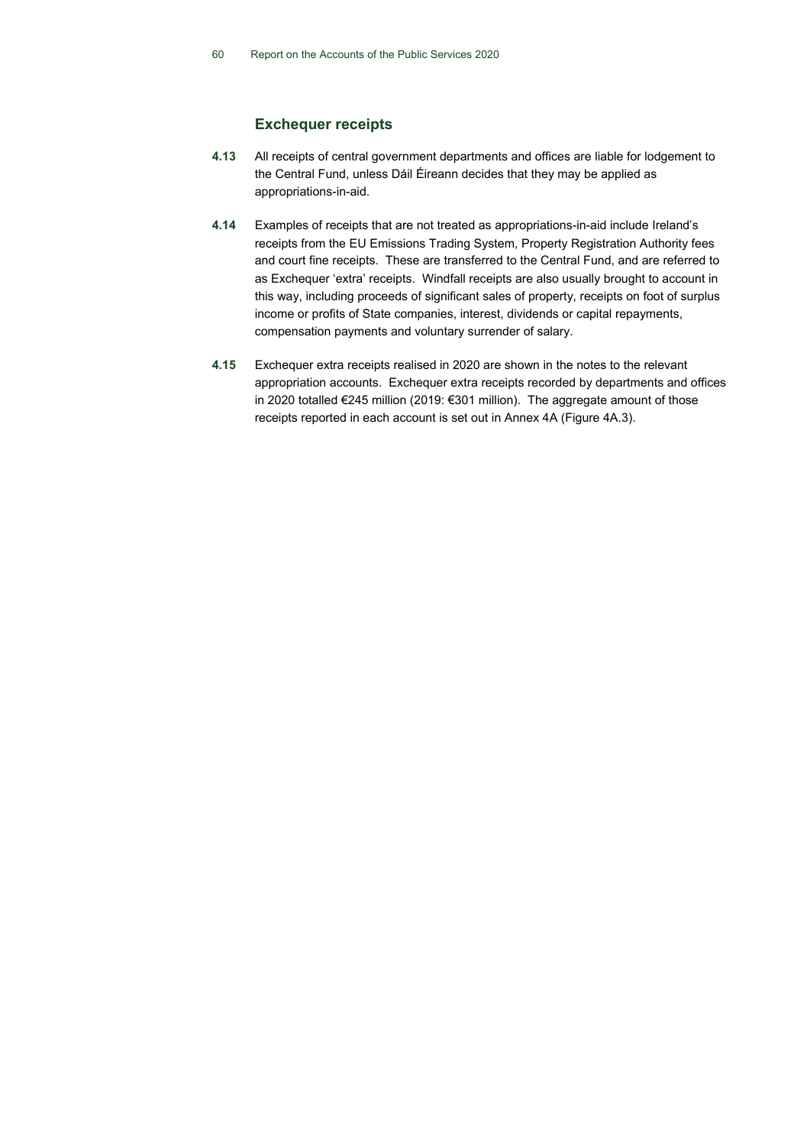#### **Exchequer receipts**

- **4.13** All receipts of central government departments and offices are liable for lodgement to the Central Fund, unless Dáil Éireann decides that they may be applied as appropriations-in-aid.
- **4.14** Examples of receipts that are not treated as appropriations-in-aid include Ireland's receipts from the EU Emissions Trading System, Property Registration Authority fees and court fine receipts. These are transferred to the Central Fund, and are referred to as Exchequer 'extra' receipts. Windfall receipts are also usually brought to account in this way, including proceeds of significant sales of property, receipts on foot of surplus income or profits of State companies, interest, dividends or capital repayments, compensation payments and voluntary surrender of salary.
- **4.15** Exchequer extra receipts realised in 2020 are shown in the notes to the relevant appropriation accounts. Exchequer extra receipts recorded by departments and offices in 2020 totalled €245 million (2019: €301 million). The aggregate amount of those receipts reported in each account is set out in Annex 4A (Figure 4A.3).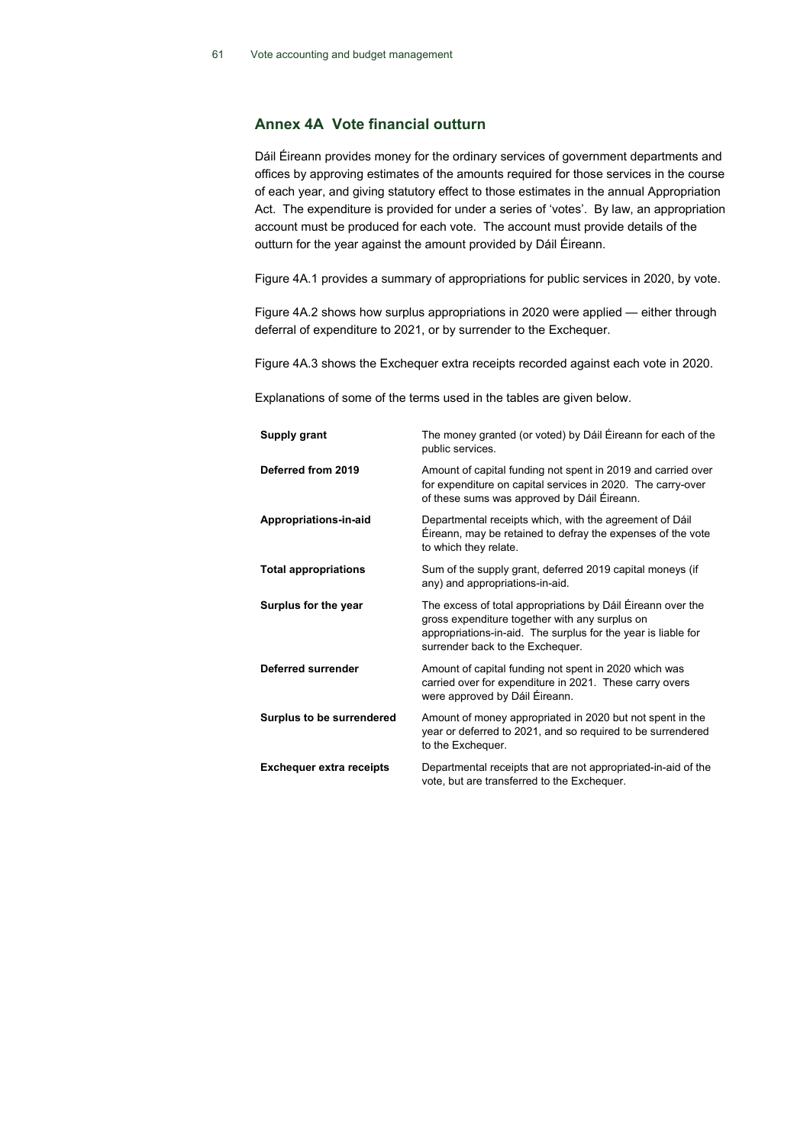#### **Annex 4A Vote financial outturn**

Dáil Éireann provides money for the ordinary services of government departments and offices by approving estimates of the amounts required for those services in the course of each year, and giving statutory effect to those estimates in the annual Appropriation Act. The expenditure is provided for under a series of 'votes'. By law, an appropriation account must be produced for each vote. The account must provide details of the outturn for the year against the amount provided by Dáil Éireann.

Figure 4A.1 provides a summary of appropriations for public services in 2020, by vote.

Figure 4A.2 shows how surplus appropriations in 2020 were applied — either through deferral of expenditure to 2021, or by surrender to the Exchequer.

Figure 4A.3 shows the Exchequer extra receipts recorded against each vote in 2020.

Explanations of some of the terms used in the tables are given below.

| Supply grant                    | The money granted (or voted) by Dáil Éireann for each of the<br>public services.                                                                                                                                   |
|---------------------------------|--------------------------------------------------------------------------------------------------------------------------------------------------------------------------------------------------------------------|
| Deferred from 2019              | Amount of capital funding not spent in 2019 and carried over<br>for expenditure on capital services in 2020. The carry-over<br>of these sums was approved by Dáil Éireann.                                         |
| Appropriations-in-aid           | Departmental receipts which, with the agreement of Dáil<br>Éireann, may be retained to defray the expenses of the vote<br>to which they relate.                                                                    |
| <b>Total appropriations</b>     | Sum of the supply grant, deferred 2019 capital moneys (if<br>any) and appropriations-in-aid.                                                                                                                       |
| Surplus for the year            | The excess of total appropriations by Dáil Éireann over the<br>gross expenditure together with any surplus on<br>appropriations-in-aid. The surplus for the year is liable for<br>surrender back to the Exchequer. |
| Deferred surrender              | Amount of capital funding not spent in 2020 which was<br>carried over for expenditure in 2021. These carry overs<br>were approved by Dáil Éireann.                                                                 |
| Surplus to be surrendered       | Amount of money appropriated in 2020 but not spent in the<br>year or deferred to 2021, and so required to be surrendered<br>to the Exchequer.                                                                      |
| <b>Exchequer extra receipts</b> | Departmental receipts that are not appropriated-in-aid of the<br>vote, but are transferred to the Exchequer.                                                                                                       |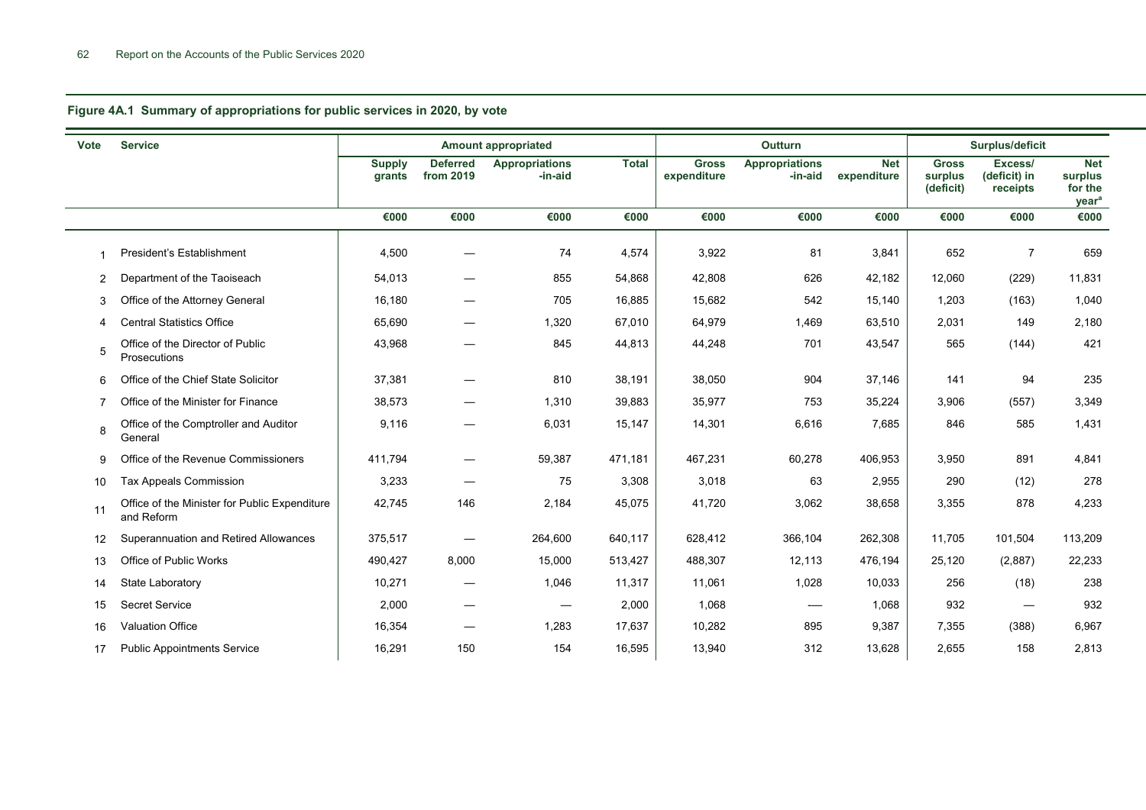**Figure 4A.1 Summary of appropriations for public services in 2020, by vote**

| <b>Vote</b>    | <b>Service</b>                                              | <b>Amount appropriated</b> |                                 |                                  | Outturn      |                             |                                  | Surplus/deficit    |                                      |                                     |                                                       |
|----------------|-------------------------------------------------------------|----------------------------|---------------------------------|----------------------------------|--------------|-----------------------------|----------------------------------|--------------------|--------------------------------------|-------------------------------------|-------------------------------------------------------|
|                |                                                             | <b>Supply</b><br>grants    | <b>Deferred</b><br>from 2019    | <b>Appropriations</b><br>-in-aid | <b>Total</b> | <b>Gross</b><br>expenditure | <b>Appropriations</b><br>-in-aid | Net<br>expenditure | <b>Gross</b><br>surplus<br>(deficit) | Excess/<br>(deficit) in<br>receipts | <b>Net</b><br>surplus<br>for the<br>year <sup>a</sup> |
|                |                                                             | €000                       | €000                            | €000                             | €000         | €000                        | €000                             | €000               | €000                                 | €000                                | €000                                                  |
| 1              | President's Establishment                                   | 4,500                      |                                 | 74                               | 4,574        | 3,922                       | 81                               | 3,841              | 652                                  | 7                                   | 659                                                   |
| 2              | Department of the Taoiseach                                 | 54,013                     |                                 | 855                              | 54,868       | 42,808                      | 626                              | 42,182             | 12,060                               | (229)                               | 11,831                                                |
| 3              | Office of the Attorney General                              | 16,180                     |                                 | 705                              | 16,885       | 15,682                      | 542                              | 15,140             | 1,203                                | (163)                               | 1,040                                                 |
| 4              | <b>Central Statistics Office</b>                            | 65,690                     |                                 | 1,320                            | 67,010       | 64,979                      | 1,469                            | 63,510             | 2,031                                | 149                                 | 2,180                                                 |
| 5              | Office of the Director of Public<br>Prosecutions            | 43,968                     |                                 | 845                              | 44,813       | 44,248                      | 701                              | 43,547             | 565                                  | (144)                               | 421                                                   |
| 6              | Office of the Chief State Solicitor                         | 37,381                     |                                 | 810                              | 38,191       | 38,050                      | 904                              | 37,146             | 141                                  | 94                                  | 235                                                   |
| $\overline{7}$ | Office of the Minister for Finance                          | 38,573                     |                                 | 1,310                            | 39,883       | 35,977                      | 753                              | 35,224             | 3,906                                | (557)                               | 3,349                                                 |
| 8              | Office of the Comptroller and Auditor<br>General            | 9,116                      |                                 | 6,031                            | 15,147       | 14,301                      | 6,616                            | 7,685              | 846                                  | 585                                 | 1,431                                                 |
| 9              | Office of the Revenue Commissioners                         | 411,794                    |                                 | 59,387                           | 471,181      | 467,231                     | 60,278                           | 406,953            | 3,950                                | 891                                 | 4,841                                                 |
| 10             | Tax Appeals Commission                                      | 3,233                      |                                 | 75                               | 3,308        | 3,018                       | 63                               | 2,955              | 290                                  | (12)                                | 278                                                   |
| 11             | Office of the Minister for Public Expenditure<br>and Reform | 42,745                     | 146                             | 2,184                            | 45,075       | 41,720                      | 3,062                            | 38,658             | 3,355                                | 878                                 | 4,233                                                 |
| 12             | Superannuation and Retired Allowances                       | 375,517                    |                                 | 264,600                          | 640,117      | 628,412                     | 366,104                          | 262,308            | 11,705                               | 101,504                             | 113,209                                               |
| 13             | Office of Public Works                                      | 490,427                    | 8,000                           | 15,000                           | 513,427      | 488,307                     | 12,113                           | 476,194            | 25,120                               | (2,887)                             | 22,233                                                |
| 14             | State Laboratory                                            | 10,271                     |                                 | 1,046                            | 11,317       | 11,061                      | 1,028                            | 10,033             | 256                                  | (18)                                | 238                                                   |
| 15             | <b>Secret Service</b>                                       | 2,000                      | $\hspace{0.1mm}-\hspace{0.1mm}$ | $\hspace{0.1mm}-\hspace{0.1mm}$  | 2,000        | 1,068                       | $\overline{\phantom{a}}$         | 1,068              | 932                                  |                                     | 932                                                   |
| 16             | <b>Valuation Office</b>                                     | 16,354                     | $\hspace{0.1mm}-\hspace{0.1mm}$ | 1,283                            | 17,637       | 10,282                      | 895                              | 9,387              | 7,355                                | (388)                               | 6,967                                                 |
| 17             | <b>Public Appointments Service</b>                          | 16,291                     | 150                             | 154                              | 16,595       | 13,940                      | 312                              | 13,628             | 2,655                                | 158                                 | 2,813                                                 |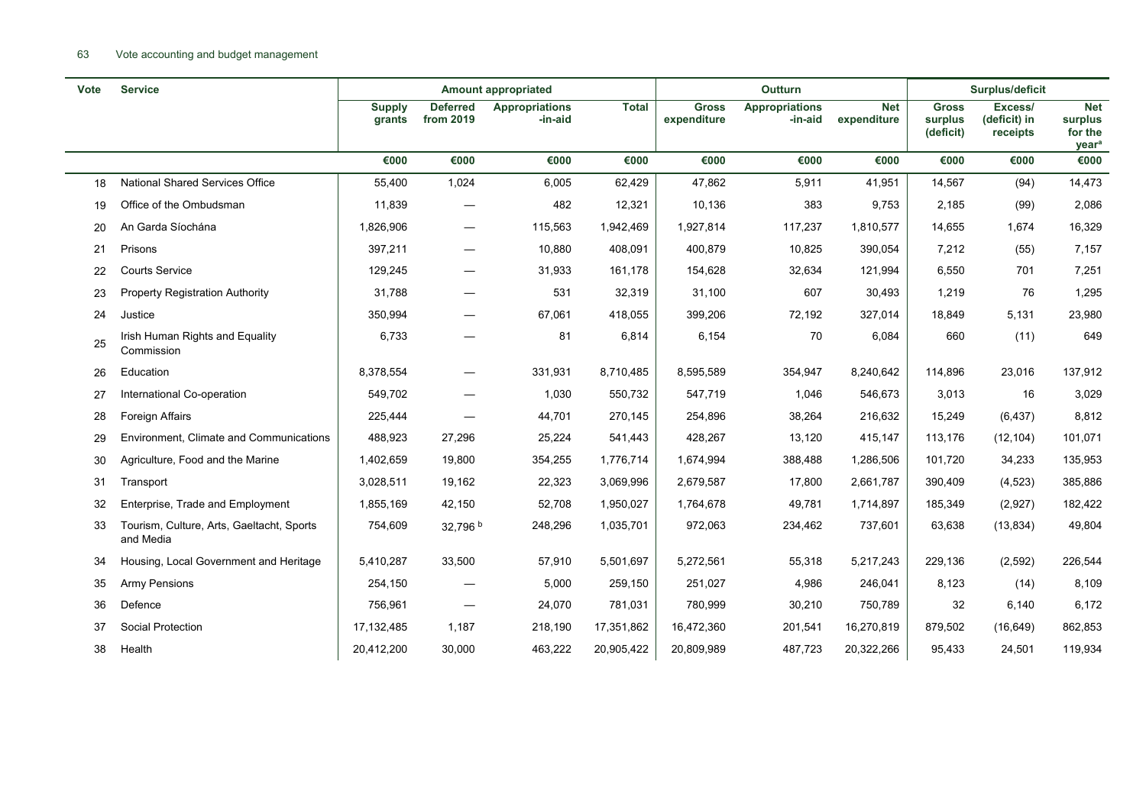#### 63 Vote accounting and budget management

| <b>Vote</b> | <b>Service</b>                                         |                         |                                 | <b>Amount appropriated</b>       |              | Outturn                     |                                  |                           | Surplus/deficit                      |                                     |                                                       |
|-------------|--------------------------------------------------------|-------------------------|---------------------------------|----------------------------------|--------------|-----------------------------|----------------------------------|---------------------------|--------------------------------------|-------------------------------------|-------------------------------------------------------|
|             |                                                        | <b>Supply</b><br>grants | <b>Deferred</b><br>from 2019    | <b>Appropriations</b><br>-in-aid | <b>Total</b> | <b>Gross</b><br>expenditure | <b>Appropriations</b><br>-in-aid | <b>Net</b><br>expenditure | <b>Gross</b><br>surplus<br>(deficit) | Excess/<br>(deficit) in<br>receipts | <b>Net</b><br>surplus<br>for the<br>year <sup>a</sup> |
|             |                                                        | €000                    | €000                            | €000                             | €000         | €000                        | €000                             | €000                      | €000                                 | €000                                | €000                                                  |
| 18          | National Shared Services Office                        | 55,400                  | 1,024                           | 6,005                            | 62,429       | 47,862                      | 5,911                            | 41,951                    | 14,567                               | (94)                                | 14,473                                                |
| 19          | Office of the Ombudsman                                | 11,839                  |                                 | 482                              | 12,321       | 10,136                      | 383                              | 9,753                     | 2,185                                | (99)                                | 2,086                                                 |
| 20          | An Garda Síochána                                      | 1,826,906               | —                               | 115,563                          | 1,942,469    | 1,927,814                   | 117,237                          | 1,810,577                 | 14,655                               | 1,674                               | 16,329                                                |
| 21          | Prisons                                                | 397,211                 | $\hspace{0.1mm}-\hspace{0.1mm}$ | 10,880                           | 408,091      | 400,879                     | 10,825                           | 390,054                   | 7,212                                | (55)                                | 7,157                                                 |
| 22          | <b>Courts Service</b>                                  | 129,245                 | $\overline{\phantom{0}}$        | 31,933                           | 161,178      | 154,628                     | 32,634                           | 121,994                   | 6,550                                | 701                                 | 7,251                                                 |
| 23          | <b>Property Registration Authority</b>                 | 31,788                  |                                 | 531                              | 32,319       | 31,100                      | 607                              | 30,493                    | 1,219                                | 76                                  | 1,295                                                 |
| 24          | Justice                                                | 350,994                 |                                 | 67,061                           | 418,055      | 399,206                     | 72,192                           | 327,014                   | 18,849                               | 5,131                               | 23,980                                                |
| 25          | Irish Human Rights and Equality<br>Commission          | 6,733                   |                                 | 81                               | 6,814        | 6,154                       | 70                               | 6,084                     | 660                                  | (11)                                | 649                                                   |
| 26          | Education                                              | 8,378,554               | $\qquad \qquad$                 | 331,931                          | 8,710,485    | 8,595,589                   | 354,947                          | 8,240,642                 | 114,896                              | 23,016                              | 137,912                                               |
| 27          | International Co-operation                             | 549,702                 |                                 | 1,030                            | 550,732      | 547,719                     | 1,046                            | 546,673                   | 3,013                                | 16                                  | 3,029                                                 |
| 28          | Foreign Affairs                                        | 225,444                 |                                 | 44,701                           | 270,145      | 254,896                     | 38,264                           | 216,632                   | 15,249                               | (6, 437)                            | 8,812                                                 |
| 29          | Environment, Climate and Communications                | 488,923                 | 27,296                          | 25,224                           | 541,443      | 428,267                     | 13,120                           | 415,147                   | 113,176                              | (12, 104)                           | 101,071                                               |
| 30          | Agriculture, Food and the Marine                       | 1,402,659               | 19,800                          | 354,255                          | 1,776,714    | 1,674,994                   | 388,488                          | 1,286,506                 | 101,720                              | 34,233                              | 135,953                                               |
| 31          | Transport                                              | 3,028,511               | 19,162                          | 22,323                           | 3,069,996    | 2,679,587                   | 17,800                           | 2,661,787                 | 390,409                              | (4, 523)                            | 385,886                                               |
| 32          | Enterprise, Trade and Employment                       | 1,855,169               | 42,150                          | 52,708                           | 1,950,027    | 1,764,678                   | 49,781                           | 1,714,897                 | 185,349                              | (2,927)                             | 182,422                                               |
| 33          | Tourism, Culture, Arts, Gaeltacht, Sports<br>and Media | 754,609                 | 32,796 b                        | 248,296                          | 1,035,701    | 972,063                     | 234,462                          | 737,601                   | 63,638                               | (13, 834)                           | 49,804                                                |
| 34          | Housing, Local Government and Heritage                 | 5,410,287               | 33,500                          | 57,910                           | 5,501,697    | 5,272,561                   | 55,318                           | 5,217,243                 | 229,136                              | (2, 592)                            | 226,544                                               |
| 35          | Army Pensions                                          | 254,150                 |                                 | 5,000                            | 259,150      | 251,027                     | 4,986                            | 246,041                   | 8,123                                | (14)                                | 8,109                                                 |
| 36          | Defence                                                | 756,961                 | $\hspace{0.1mm}-\hspace{0.1mm}$ | 24,070                           | 781,031      | 780,999                     | 30,210                           | 750,789                   | 32                                   | 6,140                               | 6,172                                                 |
| 37          | <b>Social Protection</b>                               | 17, 132, 485            | 1,187                           | 218,190                          | 17,351,862   | 16,472,360                  | 201,541                          | 16,270,819                | 879,502                              | (16, 649)                           | 862,853                                               |
| 38          | Health                                                 | 20,412,200              | 30,000                          | 463,222                          | 20,905,422   | 20,809,989                  | 487,723                          | 20,322,266                | 95,433                               | 24,501                              | 119,934                                               |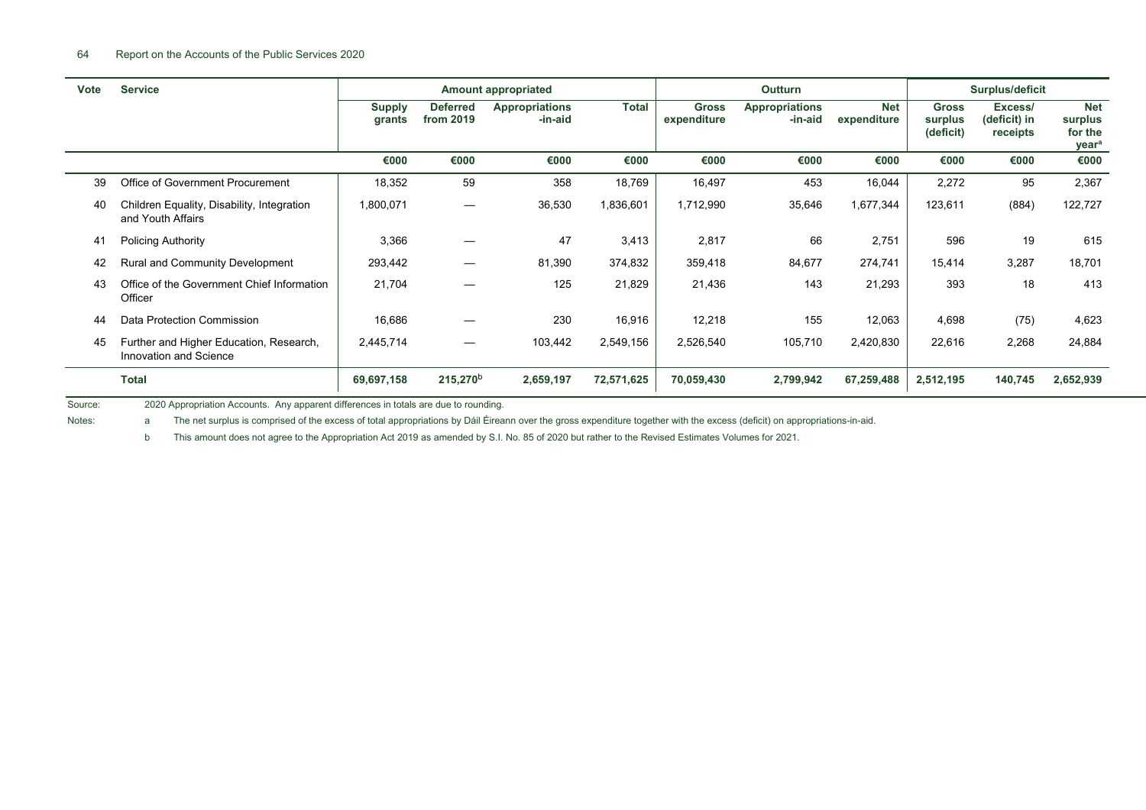| Vote | <b>Service</b>                                                    | <b>Amount appropriated</b> |                              |                                  | <b>Outturn</b> |                             |                                  | Surplus/deficit           |                                      |                                     |                                                       |
|------|-------------------------------------------------------------------|----------------------------|------------------------------|----------------------------------|----------------|-----------------------------|----------------------------------|---------------------------|--------------------------------------|-------------------------------------|-------------------------------------------------------|
|      |                                                                   | <b>Supply</b><br>grants    | <b>Deferred</b><br>from 2019 | <b>Appropriations</b><br>-in-aid | <b>Total</b>   | <b>Gross</b><br>expenditure | <b>Appropriations</b><br>-in-aid | <b>Net</b><br>expenditure | <b>Gross</b><br>surplus<br>(deficit) | Excess/<br>(deficit) in<br>receipts | <b>Net</b><br>surplus<br>for the<br>year <sup>a</sup> |
|      |                                                                   | €000                       | €000                         | €000                             | €000           | €000                        | €000                             | €000                      | €000                                 | €000                                | €000                                                  |
| 39   | Office of Government Procurement                                  | 18,352                     | 59                           | 358                              | 18,769         | 16,497                      | 453                              | 16,044                    | 2,272                                | 95                                  | 2,367                                                 |
| 40   | Children Equality, Disability, Integration<br>and Youth Affairs   | 1,800,071                  | $\overline{\phantom{m}}$     | 36,530                           | 1,836,601      | 1,712,990                   | 35,646                           | 1,677,344                 | 123,611                              | (884)                               | 122,727                                               |
| 41   | <b>Policing Authority</b>                                         | 3,366                      |                              | 47                               | 3,413          | 2,817                       | 66                               | 2,751                     | 596                                  | 19                                  | 615                                                   |
| 42   | Rural and Community Development                                   | 293,442                    |                              | 81,390                           | 374,832        | 359,418                     | 84,677                           | 274,741                   | 15,414                               | 3,287                               | 18,701                                                |
| 43   | Office of the Government Chief Information<br>Officer             | 21,704                     |                              | 125                              | 21,829         | 21,436                      | 143                              | 21,293                    | 393                                  | 18                                  | 413                                                   |
| 44   | Data Protection Commission                                        | 16,686                     |                              | 230                              | 16,916         | 12,218                      | 155                              | 12,063                    | 4,698                                | (75)                                | 4,623                                                 |
| 45   | Further and Higher Education, Research,<br>Innovation and Science | 2,445,714                  |                              | 103,442                          | 2,549,156      | 2,526,540                   | 105,710                          | 2,420,830                 | 22,616                               | 2,268                               | 24,884                                                |
|      | <b>Total</b>                                                      | 69,697,158                 | $215,270^{b}$                | 2,659,197                        | 72,571,625     | 70,059,430                  | 2,799,942                        | 67,259,488                | 2,512,195                            | 140,745                             | 2,652,939                                             |

Source: 2020 Appropriation Accounts. Any apparent differences in totals are due to rounding.

Notes: a The net surplus is comprised of the excess of total appropriations by Dáil Éireann over the gross expenditure together with the excess (deficit) on appropriations-in-aid.

b This amount does not agree to the Appropriation Act 2019 as amended by S.I. No. 85 of 2020 but rather to the Revised Estimates Volumes for 2021.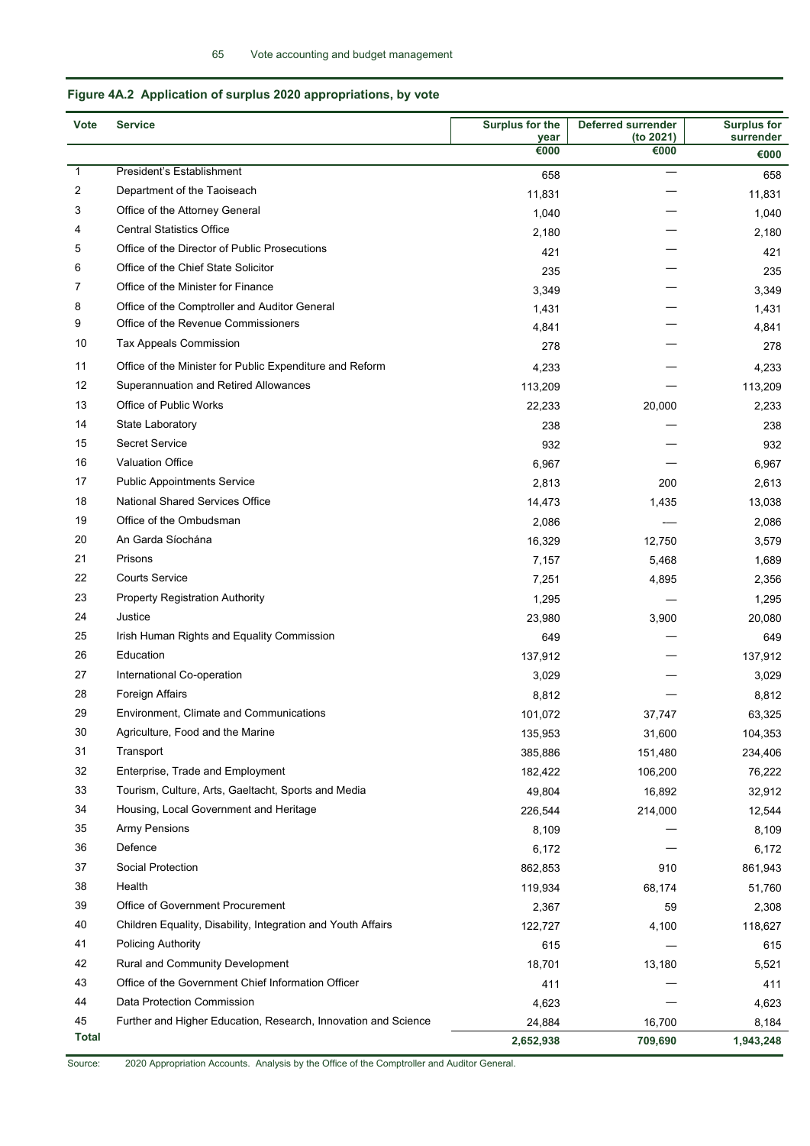## **Figure 4A.2 Application of surplus 2020 appropriations, by vote**

l,

| <b>Vote</b>  | <b>Service</b>                                                 | Surplus for the | <b>Deferred surrender</b> | <b>Surplus for</b> |
|--------------|----------------------------------------------------------------|-----------------|---------------------------|--------------------|
|              |                                                                | year<br>€000    | (to 2021)<br>€000         | surrender<br>€000  |
| $\mathbf{1}$ | President's Establishment                                      | 658             |                           |                    |
| 2            | Department of the Taoiseach                                    |                 |                           | 658                |
| 3            | Office of the Attorney General                                 | 11,831          |                           | 11,831             |
| 4            | <b>Central Statistics Office</b>                               | 1,040           |                           | 1,040              |
| 5            | Office of the Director of Public Prosecutions                  | 2,180           |                           | 2,180              |
| 6            | Office of the Chief State Solicitor                            | 421             |                           | 421                |
| 7            | Office of the Minister for Finance                             | 235             |                           | 235                |
| 8            | Office of the Comptroller and Auditor General                  | 3,349           |                           | 3,349              |
| 9            | Office of the Revenue Commissioners                            | 1,431           |                           | 1,431              |
| 10           | <b>Tax Appeals Commission</b>                                  | 4,841           |                           | 4,841              |
|              |                                                                | 278             |                           | 278                |
| 11           | Office of the Minister for Public Expenditure and Reform       | 4,233           |                           | 4,233              |
| 12           | Superannuation and Retired Allowances                          | 113,209         |                           | 113,209            |
| 13           | Office of Public Works                                         | 22,233          | 20,000                    | 2,233              |
| 14           | State Laboratory                                               | 238             |                           | 238                |
| 15           | <b>Secret Service</b>                                          | 932             |                           | 932                |
| 16           | <b>Valuation Office</b>                                        | 6,967           |                           | 6,967              |
| 17           | <b>Public Appointments Service</b>                             | 2,813           | 200                       | 2,613              |
| 18           | <b>National Shared Services Office</b>                         | 14,473          | 1,435                     | 13,038             |
| 19           | Office of the Ombudsman                                        | 2,086           |                           | 2,086              |
| 20           | An Garda Síochána                                              | 16,329          | 12,750                    | 3,579              |
| 21           | Prisons                                                        | 7,157           | 5,468                     | 1,689              |
| 22           | <b>Courts Service</b>                                          | 7,251           | 4,895                     | 2,356              |
| 23           | <b>Property Registration Authority</b>                         | 1,295           |                           | 1,295              |
| 24           | Justice                                                        | 23,980          | 3,900                     | 20,080             |
| 25           | Irish Human Rights and Equality Commission                     | 649             |                           | 649                |
| 26           | Education                                                      | 137,912         |                           | 137,912            |
| 27           | International Co-operation                                     | 3,029           |                           | 3,029              |
| 28           | <b>Foreign Affairs</b>                                         | 8,812           |                           | 8,812              |
| 29           | Environment, Climate and Communications                        | 101,072         | 37,747                    | 63,325             |
| 30           | Agriculture, Food and the Marine                               | 135,953         | 31,600                    | 104,353            |
| 31           | Transport                                                      | 385,886         | 151,480                   | 234,406            |
| 32           | Enterprise, Trade and Employment                               | 182,422         | 106,200                   | 76,222             |
| 33           | Tourism, Culture, Arts, Gaeltacht, Sports and Media            | 49,804          | 16,892                    | 32,912             |
| 34           | Housing, Local Government and Heritage                         | 226,544         | 214,000                   | 12,544             |
| 35           | <b>Army Pensions</b>                                           | 8,109           |                           | 8,109              |
| 36           | Defence                                                        | 6,172           |                           | 6,172              |
| 37           | Social Protection                                              | 862,853         | 910                       | 861,943            |
| 38           | Health                                                         | 119,934         | 68,174                    | 51,760             |
| 39           | Office of Government Procurement                               | 2,367           | 59                        | 2,308              |
| 40           | Children Equality, Disability, Integration and Youth Affairs   | 122,727         | 4,100                     | 118,627            |
| 41           | <b>Policing Authority</b>                                      | 615             |                           | 615                |
| 42           | <b>Rural and Community Development</b>                         | 18,701          | 13,180                    | 5,521              |
| 43           | Office of the Government Chief Information Officer             | 411             |                           | 411                |
| 44           | Data Protection Commission                                     | 4,623           |                           | 4,623              |
| 45           | Further and Higher Education, Research, Innovation and Science | 24,884          | 16,700                    | 8,184              |
| <b>Total</b> |                                                                | 2,652,938       | 709,690                   | 1,943,248          |

Source: 2020 Appropriation Accounts. Analysis by the Office of the Comptroller and Auditor General.